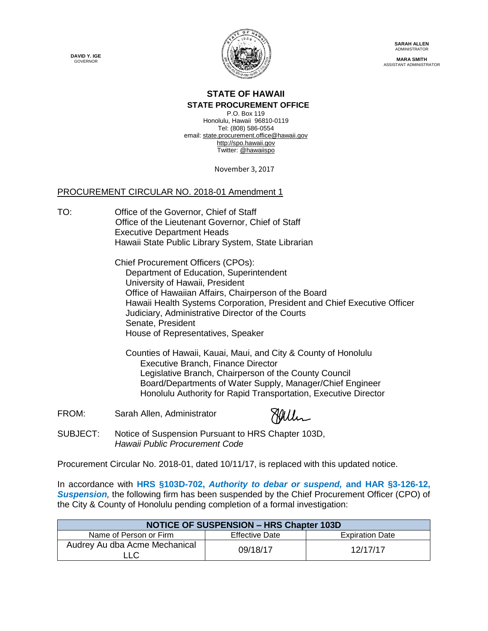**DAVID Y. IGE GOVERNOR** 



**SARAH ALLEN** ADMINISTRATOR

**MARA SMITH** ASSISTANT ADMINISTRATOR

## **STATE OF HAWAII**

**STATE PROCUREMENT OFFICE**

P.O. Box 119 Honolulu, Hawaii 96810-0119 Tel: (808) 586-0554 email[: state.procurement.office@hawaii.gov](mailto:state.procurement.office@hawaii.gov) [http://spo.hawaii.gov](http://spo.hawaii.gov/) Twitter: [@hawaiispo](https://twitter.com/hawaiispo)

November 3, 2017

## PROCUREMENT CIRCULAR NO. 2018-01 Amendment 1

TO: Office of the Governor, Chief of Staff Office of the Lieutenant Governor, Chief of Staff Executive Department Heads Hawaii State Public Library System, State Librarian

> Chief Procurement Officers (CPOs): Department of Education, Superintendent University of Hawaii, President Office of Hawaiian Affairs, Chairperson of the Board Hawaii Health Systems Corporation, President and Chief Executive Officer Judiciary, Administrative Director of the Courts Senate, President House of Representatives, Speaker

 Counties of Hawaii, Kauai, Maui, and City & County of Honolulu Executive Branch, Finance Director Legislative Branch, Chairperson of the County Council Board/Departments of Water Supply, Manager/Chief Engineer Honolulu Authority f[or Rapid Transportation,](https://stateofhawaii.na1.echosign.com/verifier?tx=CBJCHBCAABAA_QUD0Ykjw8MlEkxV09BcZcSooVgk0_KC) Executive Director

FROM: Sarah Allen, Administrator



SUBJECT: Notice of Suspension Pursuant to HRS Chapter 103D, *Hawaii Public Procurement Code*

Procurement Circular No. 2018-01, dated 10/11/17, is replaced with this updated notice.

In accordance with **HRS §103D-702,** *Authority to debar or suspend,* **and HAR §3-126-12,**  *Suspension,* the following firm has been suspended by the Chief Procurement Officer (CPO) of the City & County of Honolulu pending completion of a formal investigation:

| <b>NOTICE OF SUSPENSION - HRS Chapter 103D</b> |                       |                        |
|------------------------------------------------|-----------------------|------------------------|
| Name of Person or Firm                         | <b>Effective Date</b> | <b>Expiration Date</b> |
| Audrey Au dba Acme Mechanical<br>∟LC.          | 09/18/17              | 12/17/17               |